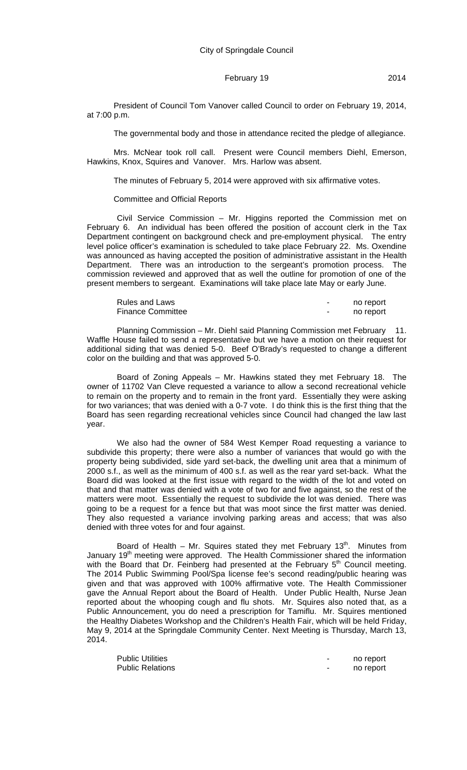President of Council Tom Vanover called Council to order on February 19, 2014, at 7:00 p.m.

The governmental body and those in attendance recited the pledge of allegiance.

Mrs. McNear took roll call. Present were Council members Diehl, Emerson, Hawkins, Knox, Squires and Vanover. Mrs. Harlow was absent.

The minutes of February 5, 2014 were approved with six affirmative votes.

#### Committee and Official Reports

Civil Service Commission – Mr. Higgins reported the Commission met on February 6. An individual has been offered the position of account clerk in the Tax Department contingent on background check and pre-employment physical. The entry level police officer's examination is scheduled to take place February 22. Ms. Oxendine was announced as having accepted the position of administrative assistant in the Health Department. There was an introduction to the sergeant's promotion process. The commission reviewed and approved that as well the outline for promotion of one of the present members to sergeant. Examinations will take place late May or early June.

| <b>Rules and Laws</b>    |   | no report |
|--------------------------|---|-----------|
| <b>Finance Committee</b> | - | no report |

Planning Commission – Mr. Diehl said Planning Commission met February 11. Waffle House failed to send a representative but we have a motion on their request for additional siding that was denied 5-0. Beef O'Brady's requested to change a different color on the building and that was approved 5-0.

Board of Zoning Appeals – Mr. Hawkins stated they met February 18. The owner of 11702 Van Cleve requested a variance to allow a second recreational vehicle to remain on the property and to remain in the front yard. Essentially they were asking for two variances; that was denied with a 0-7 vote. I do think this is the first thing that the Board has seen regarding recreational vehicles since Council had changed the law last year.

We also had the owner of 584 West Kemper Road requesting a variance to subdivide this property; there were also a number of variances that would go with the property being subdivided, side yard set-back, the dwelling unit area that a minimum of 2000 s.f., as well as the minimum of 400 s.f. as well as the rear yard set-back. What the Board did was looked at the first issue with regard to the width of the lot and voted on that and that matter was denied with a vote of two for and five against, so the rest of the matters were moot. Essentially the request to subdivide the lot was denied. There was going to be a request for a fence but that was moot since the first matter was denied. They also requested a variance involving parking areas and access; that was also denied with three votes for and four against.

Board of Health – Mr. Squires stated they met February  $13<sup>th</sup>$ . Minutes from January 19<sup>th</sup> meeting were approved. The Health Commissioner shared the information with the Board that Dr. Feinberg had presented at the February  $5<sup>th</sup>$  Council meeting. The 2014 Public Swimming Pool/Spa license fee's second reading/public hearing was given and that was approved with 100% affirmative vote. The Health Commissioner gave the Annual Report about the Board of Health. Under Public Health, Nurse Jean reported about the whooping cough and flu shots. Mr. Squires also noted that, as a Public Announcement, you do need a prescription for Tamiflu. Mr. Squires mentioned the Healthy Diabetes Workshop and the Children's Health Fair, which will be held Friday, May 9, 2014 at the Springdale Community Center. Next Meeting is Thursday, March 13, 2014.

| <b>Public Utilities</b> | no report |
|-------------------------|-----------|
| <b>Public Relations</b> | no report |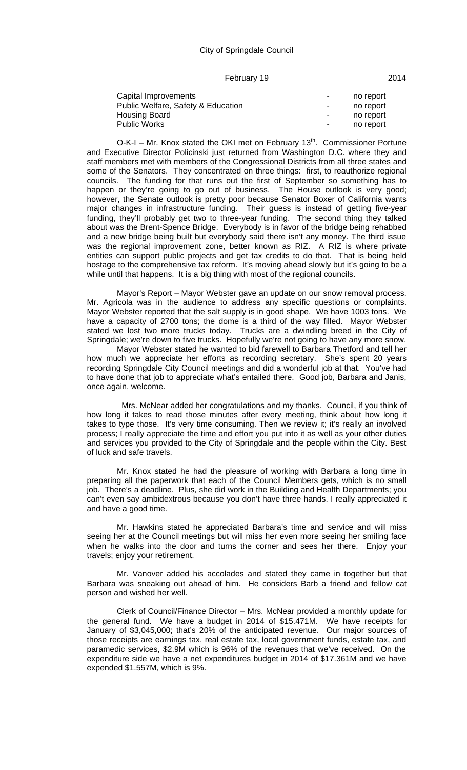#### City of Springdale Council

#### February 19 2014

| Capital Improvements               | $\blacksquare$ | no report |
|------------------------------------|----------------|-----------|
| Public Welfare, Safety & Education | $\blacksquare$ | no report |
| <b>Housing Board</b>               | $\blacksquare$ | no report |
| <b>Public Works</b>                | $\blacksquare$ | no report |

O-K-I – Mr. Knox stated the OKI met on February  $13<sup>th</sup>$ . Commissioner Portune and Executive Director Policinski just returned from Washington D.C. where they and staff members met with members of the Congressional Districts from all three states and some of the Senators. They concentrated on three things: first, to reauthorize regional councils. The funding for that runs out the first of September so something has to happen or they're going to go out of business. The House outlook is very good; however, the Senate outlook is pretty poor because Senator Boxer of California wants major changes in infrastructure funding. Their guess is instead of getting five-year funding, they'll probably get two to three-year funding. The second thing they talked about was the Brent-Spence Bridge. Everybody is in favor of the bridge being rehabbed and a new bridge being built but everybody said there isn't any money. The third issue was the regional improvement zone, better known as RIZ. A RIZ is where private entities can support public projects and get tax credits to do that. That is being held hostage to the comprehensive tax reform. It's moving ahead slowly but it's going to be a while until that happens. It is a big thing with most of the regional councils.

Mayor's Report – Mayor Webster gave an update on our snow removal process. Mr. Agricola was in the audience to address any specific questions or complaints. Mayor Webster reported that the salt supply is in good shape. We have 1003 tons. We have a capacity of 2700 tons; the dome is a third of the way filled. Mayor Webster stated we lost two more trucks today. Trucks are a dwindling breed in the City of Springdale; we're down to five trucks. Hopefully we're not going to have any more snow.

Mayor Webster stated he wanted to bid farewell to Barbara Thetford and tell her how much we appreciate her efforts as recording secretary. She's spent 20 years recording Springdale City Council meetings and did a wonderful job at that. You've had to have done that job to appreciate what's entailed there. Good job, Barbara and Janis, once again, welcome.

 Mrs. McNear added her congratulations and my thanks. Council, if you think of how long it takes to read those minutes after every meeting, think about how long it takes to type those. It's very time consuming. Then we review it; it's really an involved process; I really appreciate the time and effort you put into it as well as your other duties and services you provided to the City of Springdale and the people within the City. Best of luck and safe travels.

Mr. Knox stated he had the pleasure of working with Barbara a long time in preparing all the paperwork that each of the Council Members gets, which is no small job. There's a deadline. Plus, she did work in the Building and Health Departments; you can't even say ambidextrous because you don't have three hands. I really appreciated it and have a good time.

Mr. Hawkins stated he appreciated Barbara's time and service and will miss seeing her at the Council meetings but will miss her even more seeing her smiling face when he walks into the door and turns the corner and sees her there. Enjoy your travels; enjoy your retirement.

Mr. Vanover added his accolades and stated they came in together but that Barbara was sneaking out ahead of him. He considers Barb a friend and fellow cat person and wished her well.

Clerk of Council/Finance Director – Mrs. McNear provided a monthly update for the general fund. We have a budget in 2014 of \$15.471M. We have receipts for January of \$3,045,000; that's 20% of the anticipated revenue. Our major sources of those receipts are earnings tax, real estate tax, local government funds, estate tax, and paramedic services, \$2.9M which is 96% of the revenues that we've received. On the expenditure side we have a net expenditures budget in 2014 of \$17.361M and we have expended \$1.557M, which is 9%.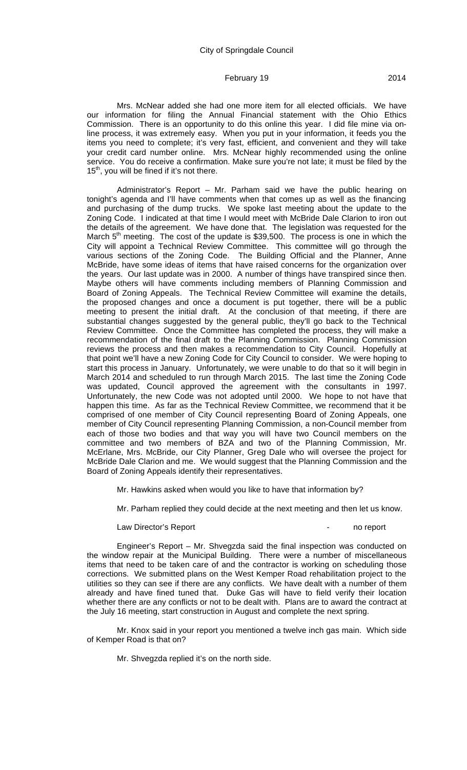Mrs. McNear added she had one more item for all elected officials. We have our information for filing the Annual Financial statement with the Ohio Ethics Commission. There is an opportunity to do this online this year. I did file mine via online process, it was extremely easy. When you put in your information, it feeds you the items you need to complete; it's very fast, efficient, and convenient and they will take your credit card number online. Mrs. McNear highly recommended using the online service. You do receive a confirmation. Make sure you're not late; it must be filed by the  $15<sup>th</sup>$ , you will be fined if it's not there.

Administrator's Report – Mr. Parham said we have the public hearing on tonight's agenda and I'll have comments when that comes up as well as the financing and purchasing of the dump trucks. We spoke last meeting about the update to the Zoning Code. I indicated at that time I would meet with McBride Dale Clarion to iron out the details of the agreement. We have done that. The legislation was requested for the March  $5<sup>th</sup>$  meeting. The cost of the update is \$39,500. The process is one in which the City will appoint a Technical Review Committee. This committee will go through the various sections of the Zoning Code. The Building Official and the Planner, Anne McBride, have some ideas of items that have raised concerns for the organization over the years. Our last update was in 2000. A number of things have transpired since then. Maybe others will have comments including members of Planning Commission and Board of Zoning Appeals. The Technical Review Committee will examine the details, the proposed changes and once a document is put together, there will be a public meeting to present the initial draft. At the conclusion of that meeting, if there are substantial changes suggested by the general public, they'll go back to the Technical Review Committee. Once the Committee has completed the process, they will make a recommendation of the final draft to the Planning Commission. Planning Commission reviews the process and then makes a recommendation to City Council. Hopefully at that point we'll have a new Zoning Code for City Council to consider. We were hoping to start this process in January. Unfortunately, we were unable to do that so it will begin in March 2014 and scheduled to run through March 2015. The last time the Zoning Code was updated, Council approved the agreement with the consultants in 1997. Unfortunately, the new Code was not adopted until 2000. We hope to not have that happen this time. As far as the Technical Review Committee, we recommend that it be comprised of one member of City Council representing Board of Zoning Appeals, one member of City Council representing Planning Commission, a non-Council member from each of those two bodies and that way you will have two Council members on the committee and two members of BZA and two of the Planning Commission, Mr. McErlane, Mrs. McBride, our City Planner, Greg Dale who will oversee the project for McBride Dale Clarion and me. We would suggest that the Planning Commission and the Board of Zoning Appeals identify their representatives.

Mr. Hawkins asked when would you like to have that information by?

Mr. Parham replied they could decide at the next meeting and then let us know.

#### Law Director's Report **Contract Contract Contract Contract Contract Contract Contract Contract Contract Contract Contract Contract Contract Contract Contract Contract Contract Contract Contract Contract Contract Contract C**

Engineer's Report – Mr. Shvegzda said the final inspection was conducted on the window repair at the Municipal Building. There were a number of miscellaneous items that need to be taken care of and the contractor is working on scheduling those corrections. We submitted plans on the West Kemper Road rehabilitation project to the utilities so they can see if there are any conflicts. We have dealt with a number of them already and have fined tuned that. Duke Gas will have to field verify their location whether there are any conflicts or not to be dealt with. Plans are to award the contract at the July 16 meeting, start construction in August and complete the next spring.

Mr. Knox said in your report you mentioned a twelve inch gas main. Which side of Kemper Road is that on?

Mr. Shvegzda replied it's on the north side.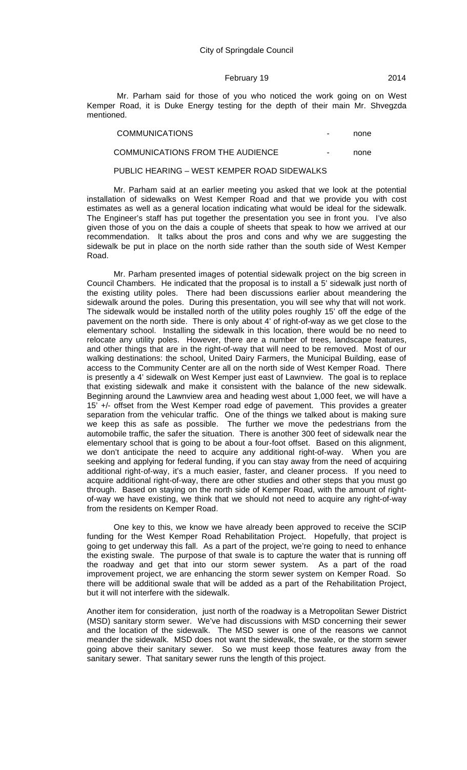Mr. Parham said for those of you who noticed the work going on on West Kemper Road, it is Duke Energy testing for the depth of their main Mr. Shvegzda mentioned.

| <b>COMMUNICATIONS</b>            | $\overline{\phantom{a}}$ | none |
|----------------------------------|--------------------------|------|
| COMMUNICATIONS FROM THE AUDIENCE | $\blacksquare$           | none |

#### PUBLIC HEARING – WEST KEMPER ROAD SIDEWALKS

Mr. Parham said at an earlier meeting you asked that we look at the potential installation of sidewalks on West Kemper Road and that we provide you with cost estimates as well as a general location indicating what would be ideal for the sidewalk. The Engineer's staff has put together the presentation you see in front you. I've also given those of you on the dais a couple of sheets that speak to how we arrived at our recommendation. It talks about the pros and cons and why we are suggesting the sidewalk be put in place on the north side rather than the south side of West Kemper Road.

Mr. Parham presented images of potential sidewalk project on the big screen in Council Chambers. He indicated that the proposal is to install a 5' sidewalk just north of the existing utility poles. There had been discussions earlier about meandering the sidewalk around the poles. During this presentation, you will see why that will not work. The sidewalk would be installed north of the utility poles roughly 15' off the edge of the pavement on the north side. There is only about 4' of right-of-way as we get close to the elementary school. Installing the sidewalk in this location, there would be no need to relocate any utility poles. However, there are a number of trees, landscape features, and other things that are in the right-of-way that will need to be removed. Most of our walking destinations: the school, United Dairy Farmers, the Municipal Building, ease of access to the Community Center are all on the north side of West Kemper Road. There is presently a 4' sidewalk on West Kemper just east of Lawnview. The goal is to replace that existing sidewalk and make it consistent with the balance of the new sidewalk. Beginning around the Lawnview area and heading west about 1,000 feet, we will have a 15' +/- offset from the West Kemper road edge of pavement. This provides a greater separation from the vehicular traffic. One of the things we talked about is making sure we keep this as safe as possible. The further we move the pedestrians from the automobile traffic, the safer the situation. There is another 300 feet of sidewalk near the elementary school that is going to be about a four-foot offset. Based on this alignment, we don't anticipate the need to acquire any additional right-of-way. When you are seeking and applying for federal funding, if you can stay away from the need of acquiring additional right-of-way, it's a much easier, faster, and cleaner process. If you need to acquire additional right-of-way, there are other studies and other steps that you must go through. Based on staying on the north side of Kemper Road, with the amount of rightof-way we have existing, we think that we should not need to acquire any right-of-way from the residents on Kemper Road.

One key to this, we know we have already been approved to receive the SCIP funding for the West Kemper Road Rehabilitation Project. Hopefully, that project is going to get underway this fall. As a part of the project, we're going to need to enhance the existing swale. The purpose of that swale is to capture the water that is running off the roadway and get that into our storm sewer system. As a part of the road improvement project, we are enhancing the storm sewer system on Kemper Road. So there will be additional swale that will be added as a part of the Rehabilitation Project, but it will not interfere with the sidewalk.

Another item for consideration, just north of the roadway is a Metropolitan Sewer District (MSD) sanitary storm sewer. We've had discussions with MSD concerning their sewer and the location of the sidewalk. The MSD sewer is one of the reasons we cannot meander the sidewalk. MSD does not want the sidewalk, the swale, or the storm sewer going above their sanitary sewer. So we must keep those features away from the sanitary sewer. That sanitary sewer runs the length of this project.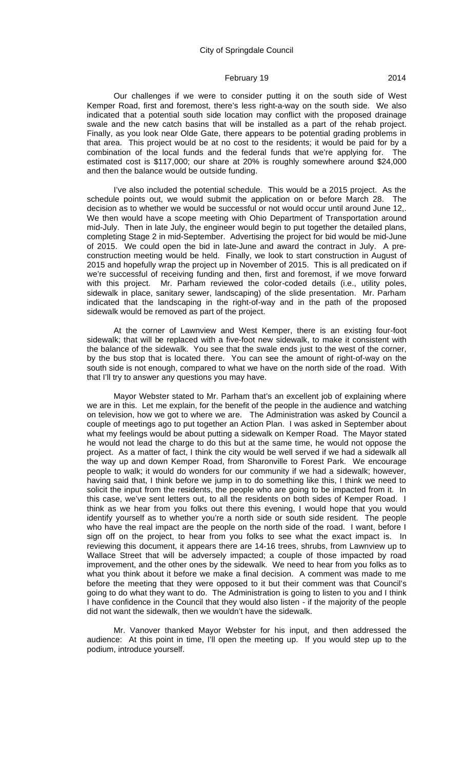Our challenges if we were to consider putting it on the south side of West Kemper Road, first and foremost, there's less right-a-way on the south side. We also indicated that a potential south side location may conflict with the proposed drainage swale and the new catch basins that will be installed as a part of the rehab project. Finally, as you look near Olde Gate, there appears to be potential grading problems in that area. This project would be at no cost to the residents; it would be paid for by a combination of the local funds and the federal funds that we're applying for. The estimated cost is \$117,000; our share at 20% is roughly somewhere around \$24,000 and then the balance would be outside funding.

I've also included the potential schedule. This would be a 2015 project. As the schedule points out, we would submit the application on or before March 28. The decision as to whether we would be successful or not would occur until around June 12,. We then would have a scope meeting with Ohio Department of Transportation around mid-July. Then in late July, the engineer would begin to put together the detailed plans, completing Stage 2 in mid-September. Advertising the project for bid would be mid-June of 2015. We could open the bid in late-June and award the contract in July. A preconstruction meeting would be held. Finally, we look to start construction in August of 2015 and hopefully wrap the project up in November of 2015. This is all predicated on if we're successful of receiving funding and then, first and foremost, if we move forward with this project. Mr. Parham reviewed the color-coded details (i.e., utility poles, sidewalk in place, sanitary sewer, landscaping) of the slide presentation. Mr. Parham indicated that the landscaping in the right-of-way and in the path of the proposed sidewalk would be removed as part of the project.

At the corner of Lawnview and West Kemper, there is an existing four-foot sidewalk; that will be replaced with a five-foot new sidewalk, to make it consistent with the balance of the sidewalk. You see that the swale ends just to the west of the corner, by the bus stop that is located there. You can see the amount of right-of-way on the south side is not enough, compared to what we have on the north side of the road. With that I'll try to answer any questions you may have.

Mayor Webster stated to Mr. Parham that's an excellent job of explaining where we are in this. Let me explain, for the benefit of the people in the audience and watching on television, how we got to where we are. The Administration was asked by Council a couple of meetings ago to put together an Action Plan. I was asked in September about what my feelings would be about putting a sidewalk on Kemper Road. The Mayor stated he would not lead the charge to do this but at the same time, he would not oppose the project. As a matter of fact, I think the city would be well served if we had a sidewalk all the way up and down Kemper Road, from Sharonville to Forest Park. We encourage people to walk; it would do wonders for our community if we had a sidewalk; however, having said that, I think before we jump in to do something like this, I think we need to solicit the input from the residents, the people who are going to be impacted from it. In this case, we've sent letters out, to all the residents on both sides of Kemper Road. I think as we hear from you folks out there this evening, I would hope that you would identify yourself as to whether you're a north side or south side resident. The people who have the real impact are the people on the north side of the road. I want, before I sign off on the project, to hear from you folks to see what the exact impact is. In reviewing this document, it appears there are 14-16 trees, shrubs, from Lawnview up to Wallace Street that will be adversely impacted; a couple of those impacted by road improvement, and the other ones by the sidewalk. We need to hear from you folks as to what you think about it before we make a final decision. A comment was made to me before the meeting that they were opposed to it but their comment was that Council's going to do what they want to do. The Administration is going to listen to you and I think I have confidence in the Council that they would also listen - if the majority of the people did not want the sidewalk, then we wouldn't have the sidewalk.

Mr. Vanover thanked Mayor Webster for his input, and then addressed the audience: At this point in time, I'll open the meeting up. If you would step up to the podium, introduce yourself.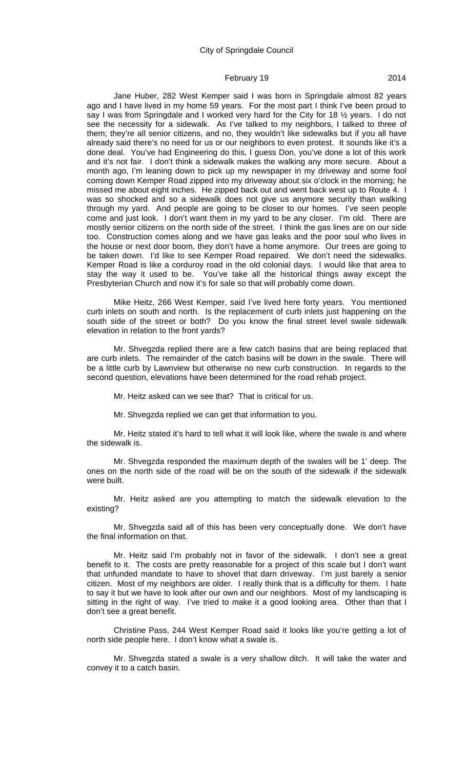#### City of Springdale Council

#### February 19 2014

Jane Huber, 282 West Kemper said I was born in Springdale almost 82 years ago and I have lived in my home 59 years. For the most part I think I've been proud to say I was from Springdale and I worked very hard for the City for 18 ½ years. I do not see the necessity for a sidewalk. As I've talked to my neighbors, I talked to three of them; they're all senior citizens, and no, they wouldn't like sidewalks but if you all have already said there's no need for us or our neighbors to even protest. It sounds like it's a done deal. You've had Engineering do this, I guess Don, you've done a lot of this work and it's not fair. I don't think a sidewalk makes the walking any more secure. About a month ago, I'm leaning down to pick up my newspaper in my driveway and some fool coming down Kemper Road zipped into my driveway about six o'clock in the morning; he missed me about eight inches. He zipped back out and went back west up to Route 4. I was so shocked and so a sidewalk does not give us anymore security than walking through my yard. And people are going to be closer to our homes. I've seen people come and just look. I don't want them in my yard to be any closer. I'm old. There are mostly senior citizens on the north side of the street. I think the gas lines are on our side too. Construction comes along and we have gas leaks and the poor soul who lives in the house or next door boom, they don't have a home anymore. Our trees are going to be taken down. I'd like to see Kemper Road repaired. We don't need the sidewalks. Kemper Road is like a corduroy road in the old colonial days. I would like that area to stay the way it used to be. You've take all the historical things away except the Presbyterian Church and now it's for sale so that will probably come down.

Mike Heitz, 266 West Kemper, said I've lived here forty years. You mentioned curb inlets on south and north. Is the replacement of curb inlets just happening on the south side of the street or both? Do you know the final street level swale sidewalk elevation in relation to the front yards?

Mr. Shvegzda replied there are a few catch basins that are being replaced that are curb inlets. The remainder of the catch basins will be down in the swale. There will be a little curb by Lawnview but otherwise no new curb construction. In regards to the second question, elevations have been determined for the road rehab project.

Mr. Heitz asked can we see that? That is critical for us.

Mr. Shvegzda replied we can get that information to you.

Mr. Heitz stated it's hard to tell what it will look like, where the swale is and where the sidewalk is.

Mr. Shvegzda responded the maximum depth of the swales will be 1' deep. The ones on the north side of the road will be on the south of the sidewalk if the sidewalk were built.

Mr. Heitz asked are you attempting to match the sidewalk elevation to the existing?

Mr. Shvegzda said all of this has been very conceptually done. We don't have the final information on that.

Mr. Heitz said I'm probably not in favor of the sidewalk. I don't see a great benefit to it. The costs are pretty reasonable for a project of this scale but I don't want that unfunded mandate to have to shovel that darn driveway. I'm just barely a senior citizen. Most of my neighbors are older. I really think that is a difficulty for them. I hate to say it but we have to look after our own and our neighbors. Most of my landscaping is sitting in the right of way. I've tried to make it a good looking area. Other than that I don't see a great benefit.

Christine Pass, 244 West Kemper Road said it looks like you're getting a lot of north side people here. I don't know what a swale is.

Mr. Shvegzda stated a swale is a very shallow ditch. It will take the water and convey it to a catch basin.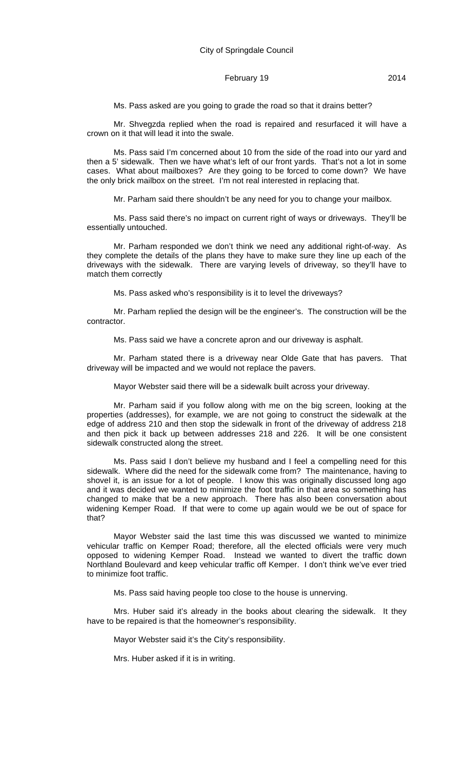Ms. Pass asked are you going to grade the road so that it drains better?

Mr. Shvegzda replied when the road is repaired and resurfaced it will have a crown on it that will lead it into the swale.

Ms. Pass said I'm concerned about 10 from the side of the road into our yard and then a 5' sidewalk. Then we have what's left of our front yards. That's not a lot in some cases. What about mailboxes? Are they going to be forced to come down? We have the only brick mailbox on the street. I'm not real interested in replacing that.

Mr. Parham said there shouldn't be any need for you to change your mailbox.

Ms. Pass said there's no impact on current right of ways or driveways. They'll be essentially untouched.

Mr. Parham responded we don't think we need any additional right-of-way. As they complete the details of the plans they have to make sure they line up each of the driveways with the sidewalk. There are varying levels of driveway, so they'll have to match them correctly

Ms. Pass asked who's responsibility is it to level the driveways?

Mr. Parham replied the design will be the engineer's. The construction will be the contractor.

Ms. Pass said we have a concrete apron and our driveway is asphalt.

Mr. Parham stated there is a driveway near Olde Gate that has pavers. That driveway will be impacted and we would not replace the pavers.

Mayor Webster said there will be a sidewalk built across your driveway.

Mr. Parham said if you follow along with me on the big screen, looking at the properties (addresses), for example, we are not going to construct the sidewalk at the edge of address 210 and then stop the sidewalk in front of the driveway of address 218 and then pick it back up between addresses 218 and 226. It will be one consistent sidewalk constructed along the street.

Ms. Pass said I don't believe my husband and I feel a compelling need for this sidewalk. Where did the need for the sidewalk come from? The maintenance, having to shovel it, is an issue for a lot of people. I know this was originally discussed long ago and it was decided we wanted to minimize the foot traffic in that area so something has changed to make that be a new approach. There has also been conversation about widening Kemper Road. If that were to come up again would we be out of space for that?

Mayor Webster said the last time this was discussed we wanted to minimize vehicular traffic on Kemper Road; therefore, all the elected officials were very much opposed to widening Kemper Road. Instead we wanted to divert the traffic down Northland Boulevard and keep vehicular traffic off Kemper. I don't think we've ever tried to minimize foot traffic.

Ms. Pass said having people too close to the house is unnerving.

Mrs. Huber said it's already in the books about clearing the sidewalk. It they have to be repaired is that the homeowner's responsibility.

Mayor Webster said it's the City's responsibility.

Mrs. Huber asked if it is in writing.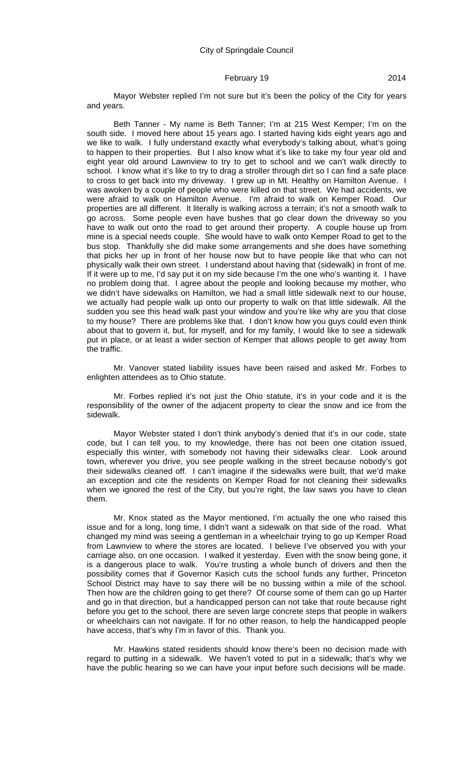Mayor Webster replied I'm not sure but it's been the policy of the City for years and years.

Beth Tanner - My name is Beth Tanner; I'm at 215 West Kemper; I'm on the south side. I moved here about 15 years ago. I started having kids eight years ago and we like to walk. I fully understand exactly what everybody's talking about, what's going to happen to their properties. But I also know what it's like to take my four year old and eight year old around Lawnview to try to get to school and we can't walk directly to school. I know what it's like to try to drag a stroller through dirt so I can find a safe place to cross to get back into my driveway. I grew up in Mt. Healthy on Hamilton Avenue. I was awoken by a couple of people who were killed on that street. We had accidents, we were afraid to walk on Hamilton Avenue. I'm afraid to walk on Kemper Road. Our properties are all different. It literally is walking across a terrain; it's not a smooth walk to go across. Some people even have bushes that go clear down the driveway so you have to walk out onto the road to get around their property. A couple house up from mine is a special needs couple. She would have to walk onto Kemper Road to get to the bus stop. Thankfully she did make some arrangements and she does have something that picks her up in front of her house now but to have people like that who can not physically walk their own street. I understand about having that (sidewalk) in front of me. If it were up to me, I'd say put it on my side because I'm the one who's wanting it. I have no problem doing that. I agree about the people and looking because my mother, who we didn't have sidewalks on Hamilton, we had a small little sidewalk next to our house, we actually had people walk up onto our property to walk on that little sidewalk. All the sudden you see this head walk past your window and you're like why are you that close to my house? There are problems like that. I don't know how you guys could even think about that to govern it, but, for myself, and for my family, I would like to see a sidewalk put in place, or at least a wider section of Kemper that allows people to get away from the traffic.

Mr. Vanover stated liability issues have been raised and asked Mr. Forbes to enlighten attendees as to Ohio statute.

Mr. Forbes replied it's not just the Ohio statute, it's in your code and it is the responsibility of the owner of the adjacent property to clear the snow and ice from the sidewalk.

Mayor Webster stated I don't think anybody's denied that it's in our code, state code, but I can tell you, to my knowledge, there has not been one citation issued, especially this winter, with somebody not having their sidewalks clear. Look around town, wherever you drive, you see people walking in the street because nobody's got their sidewalks cleaned off. I can't imagine if the sidewalks were built, that we'd make an exception and cite the residents on Kemper Road for not cleaning their sidewalks when we ignored the rest of the City, but you're right, the law saws you have to clean them.

Mr. Knox stated as the Mayor mentioned, I'm actually the one who raised this issue and for a long, long time, I didn't want a sidewalk on that side of the road. What changed my mind was seeing a gentleman in a wheelchair trying to go up Kemper Road from Lawnview to where the stores are located. I believe I've observed you with your carriage also, on one occasion. I walked it yesterday. Even with the snow being gone, it is a dangerous place to walk. You're trusting a whole bunch of drivers and then the possibility comes that if Governor Kasich cuts the school funds any further, Princeton School District may have to say there will be no bussing within a mile of the school. Then how are the children going to get there? Of course some of them can go up Harter and go in that direction, but a handicapped person can not take that route because right before you get to the school, there are seven large concrete steps that people in walkers or wheelchairs can not navigate. If for no other reason, to help the handicapped people have access, that's why I'm in favor of this. Thank you.

Mr. Hawkins stated residents should know there's been no decision made with regard to putting in a sidewalk. We haven't voted to put in a sidewalk; that's why we have the public hearing so we can have your input before such decisions will be made.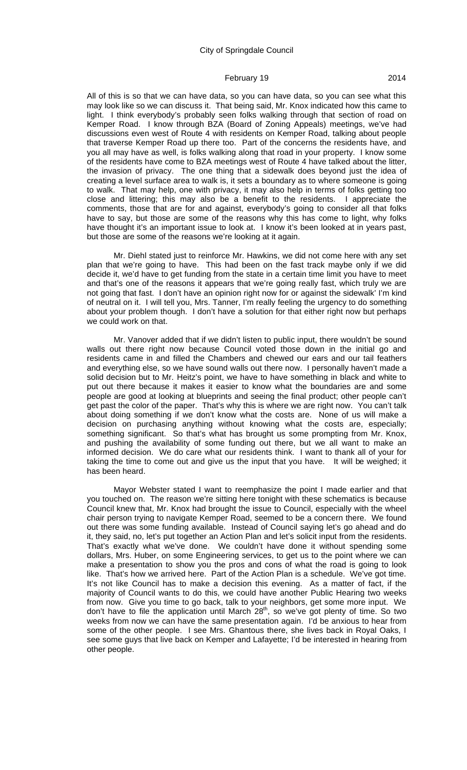All of this is so that we can have data, so you can have data, so you can see what this may look like so we can discuss it. That being said, Mr. Knox indicated how this came to light. I think everybody's probably seen folks walking through that section of road on Kemper Road. I know through BZA (Board of Zoning Appeals) meetings, we've had discussions even west of Route 4 with residents on Kemper Road, talking about people that traverse Kemper Road up there too. Part of the concerns the residents have, and you all may have as well, is folks walking along that road in your property. I know some of the residents have come to BZA meetings west of Route 4 have talked about the litter, the invasion of privacy. The one thing that a sidewalk does beyond just the idea of creating a level surface area to walk is, it sets a boundary as to where someone is going to walk. That may help, one with privacy, it may also help in terms of folks getting too close and littering; this may also be a benefit to the residents. I appreciate the comments, those that are for and against, everybody's going to consider all that folks have to say, but those are some of the reasons why this has come to light, why folks have thought it's an important issue to look at. I know it's been looked at in years past, but those are some of the reasons we're looking at it again.

Mr. Diehl stated just to reinforce Mr. Hawkins, we did not come here with any set plan that we're going to have. This had been on the fast track maybe only if we did decide it, we'd have to get funding from the state in a certain time limit you have to meet and that's one of the reasons it appears that we're going really fast, which truly we are not going that fast. I don't have an opinion right now for or against the sidewalk' I'm kind of neutral on it. I will tell you, Mrs. Tanner, I'm really feeling the urgency to do something about your problem though. I don't have a solution for that either right now but perhaps we could work on that.

Mr. Vanover added that if we didn't listen to public input, there wouldn't be sound walls out there right now because Council voted those down in the initial go and residents came in and filled the Chambers and chewed our ears and our tail feathers and everything else, so we have sound walls out there now. I personally haven't made a solid decision but to Mr. Heitz's point, we have to have something in black and white to put out there because it makes it easier to know what the boundaries are and some people are good at looking at blueprints and seeing the final product; other people can't get past the color of the paper. That's why this is where we are right now. You can't talk about doing something if we don't know what the costs are. None of us will make a decision on purchasing anything without knowing what the costs are, especially; something significant. So that's what has brought us some prompting from Mr. Knox, and pushing the availability of some funding out there, but we all want to make an informed decision. We do care what our residents think. I want to thank all of your for taking the time to come out and give us the input that you have. It will be weighed; it has been heard.

Mayor Webster stated I want to reemphasize the point I made earlier and that you touched on. The reason we're sitting here tonight with these schematics is because Council knew that, Mr. Knox had brought the issue to Council, especially with the wheel chair person trying to navigate Kemper Road, seemed to be a concern there. We found out there was some funding available. Instead of Council saying let's go ahead and do it, they said, no, let's put together an Action Plan and let's solicit input from the residents. That's exactly what we've done. We couldn't have done it without spending some dollars, Mrs. Huber, on some Engineering services, to get us to the point where we can make a presentation to show you the pros and cons of what the road is going to look like. That's how we arrived here. Part of the Action Plan is a schedule. We've got time. It's not like Council has to make a decision this evening. As a matter of fact, if the majority of Council wants to do this, we could have another Public Hearing two weeks from now. Give you time to go back, talk to your neighbors, get some more input. We don't have to file the application until March 28<sup>th</sup>, so we've got plenty of time. So two weeks from now we can have the same presentation again. I'd be anxious to hear from some of the other people. I see Mrs. Ghantous there, she lives back in Royal Oaks, I see some guys that live back on Kemper and Lafayette; I'd be interested in hearing from other people.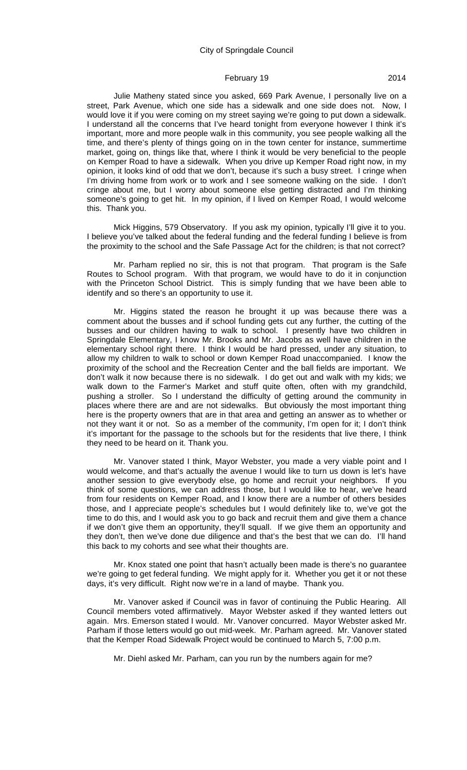Julie Matheny stated since you asked, 669 Park Avenue, I personally live on a street, Park Avenue, which one side has a sidewalk and one side does not. Now, I would love it if you were coming on my street saying we're going to put down a sidewalk. I understand all the concerns that I've heard tonight from everyone however I think it's important, more and more people walk in this community, you see people walking all the time, and there's plenty of things going on in the town center for instance, summertime market, going on, things like that, where I think it would be very beneficial to the people on Kemper Road to have a sidewalk. When you drive up Kemper Road right now, in my opinion, it looks kind of odd that we don't, because it's such a busy street. I cringe when I'm driving home from work or to work and I see someone walking on the side. I don't cringe about me, but I worry about someone else getting distracted and I'm thinking someone's going to get hit. In my opinion, if I lived on Kemper Road, I would welcome this. Thank you.

Mick Higgins, 579 Observatory. If you ask my opinion, typically I'll give it to you. I believe you've talked about the federal funding and the federal funding I believe is from the proximity to the school and the Safe Passage Act for the children; is that not correct?

Mr. Parham replied no sir, this is not that program. That program is the Safe Routes to School program. With that program, we would have to do it in conjunction with the Princeton School District. This is simply funding that we have been able to identify and so there's an opportunity to use it.

Mr. Higgins stated the reason he brought it up was because there was a comment about the busses and if school funding gets cut any further, the cutting of the busses and our children having to walk to school. I presently have two children in Springdale Elementary, I know Mr. Brooks and Mr. Jacobs as well have children in the elementary school right there. I think I would be hard pressed, under any situation, to allow my children to walk to school or down Kemper Road unaccompanied. I know the proximity of the school and the Recreation Center and the ball fields are important. We don't walk it now because there is no sidewalk. I do get out and walk with my kids; we walk down to the Farmer's Market and stuff quite often, often with my grandchild, pushing a stroller. So I understand the difficulty of getting around the community in places where there are and are not sidewalks. But obviously the most important thing here is the property owners that are in that area and getting an answer as to whether or not they want it or not. So as a member of the community, I'm open for it; I don't think it's important for the passage to the schools but for the residents that live there, I think they need to be heard on it. Thank you.

Mr. Vanover stated I think, Mayor Webster, you made a very viable point and I would welcome, and that's actually the avenue I would like to turn us down is let's have another session to give everybody else, go home and recruit your neighbors. If you think of some questions, we can address those, but I would like to hear, we've heard from four residents on Kemper Road, and I know there are a number of others besides those, and I appreciate people's schedules but I would definitely like to, we've got the time to do this, and I would ask you to go back and recruit them and give them a chance if we don't give them an opportunity, they'll squall. If we give them an opportunity and they don't, then we've done due diligence and that's the best that we can do. I'll hand this back to my cohorts and see what their thoughts are.

Mr. Knox stated one point that hasn't actually been made is there's no guarantee we're going to get federal funding. We might apply for it. Whether you get it or not these days, it's very difficult. Right now we're in a land of maybe. Thank you.

Mr. Vanover asked if Council was in favor of continuing the Public Hearing. All Council members voted affirmatively. Mayor Webster asked if they wanted letters out again. Mrs. Emerson stated I would. Mr. Vanover concurred. Mayor Webster asked Mr. Parham if those letters would go out mid-week. Mr. Parham agreed. Mr. Vanover stated that the Kemper Road Sidewalk Project would be continued to March 5, 7:00 p.m.

Mr. Diehl asked Mr. Parham, can you run by the numbers again for me?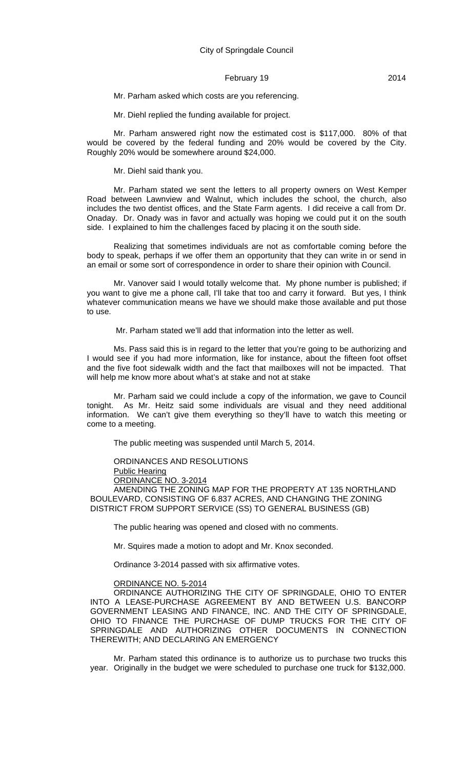Mr. Parham asked which costs are you referencing.

Mr. Diehl replied the funding available for project.

Mr. Parham answered right now the estimated cost is \$117,000. 80% of that would be covered by the federal funding and 20% would be covered by the City. Roughly 20% would be somewhere around \$24,000.

Mr. Diehl said thank you.

Mr. Parham stated we sent the letters to all property owners on West Kemper Road between Lawnview and Walnut, which includes the school, the church, also includes the two dentist offices, and the State Farm agents. I did receive a call from Dr. Onaday. Dr. Onady was in favor and actually was hoping we could put it on the south side. I explained to him the challenges faced by placing it on the south side.

Realizing that sometimes individuals are not as comfortable coming before the body to speak, perhaps if we offer them an opportunity that they can write in or send in an email or some sort of correspondence in order to share their opinion with Council.

Mr. Vanover said I would totally welcome that. My phone number is published; if you want to give me a phone call, I'll take that too and carry it forward. But yes, I think whatever communication means we have we should make those available and put those to use.

Mr. Parham stated we'll add that information into the letter as well.

Ms. Pass said this is in regard to the letter that you're going to be authorizing and I would see if you had more information, like for instance, about the fifteen foot offset and the five foot sidewalk width and the fact that mailboxes will not be impacted. That will help me know more about what's at stake and not at stake

Mr. Parham said we could include a copy of the information, we gave to Council tonight. As Mr. Heitz said some individuals are visual and they need additional information. We can't give them everything so they'll have to watch this meeting or come to a meeting.

The public meeting was suspended until March 5, 2014.

ORDINANCES AND RESOLUTIONS

Public Hearing

ORDINANCE NO. 3-2014

AMENDING THE ZONING MAP FOR THE PROPERTY AT 135 NORTHLAND BOULEVARD, CONSISTING OF 6.837 ACRES, AND CHANGING THE ZONING DISTRICT FROM SUPPORT SERVICE (SS) TO GENERAL BUSINESS (GB)

The public hearing was opened and closed with no comments.

Mr. Squires made a motion to adopt and Mr. Knox seconded.

Ordinance 3-2014 passed with six affirmative votes.

#### ORDINANCE NO. 5-2014

ORDINANCE AUTHORIZING THE CITY OF SPRINGDALE, OHIO TO ENTER INTO A LEASE-PURCHASE AGREEMENT BY AND BETWEEN U.S. BANCORP GOVERNMENT LEASING AND FINANCE, INC. AND THE CITY OF SPRINGDALE, OHIO TO FINANCE THE PURCHASE OF DUMP TRUCKS FOR THE CITY OF SPRINGDALE AND AUTHORIZING OTHER DOCUMENTS IN CONNECTION THEREWITH; AND DECLARING AN EMERGENCY

Mr. Parham stated this ordinance is to authorize us to purchase two trucks this year. Originally in the budget we were scheduled to purchase one truck for \$132,000.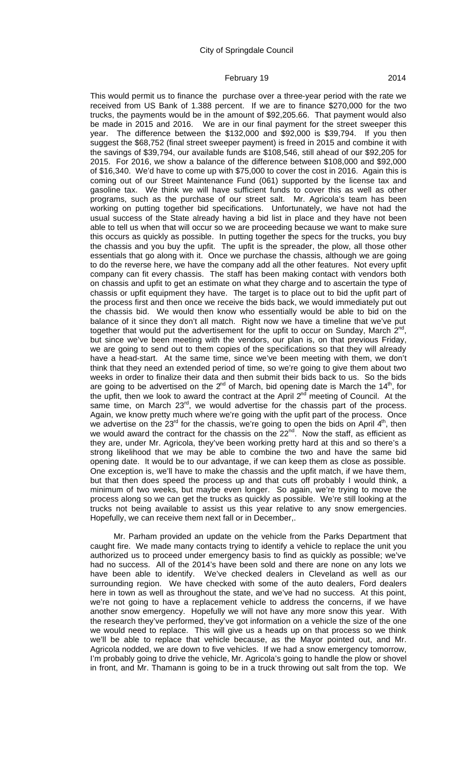This would permit us to finance the purchase over a three-year period with the rate we received from US Bank of 1.388 percent. If we are to finance \$270,000 for the two trucks, the payments would be in the amount of \$92,205.66. That payment would also be made in 2015 and 2016. We are in our final payment for the street sweeper this year. The difference between the \$132,000 and \$92,000 is \$39,794. If you then suggest the \$68,752 (final street sweeper payment) is freed in 2015 and combine it with the savings of \$39,794, our available funds are \$108,546, still ahead of our \$92,205 for 2015. For 2016, we show a balance of the difference between \$108,000 and \$92,000 of \$16,340. We'd have to come up with \$75,000 to cover the cost in 2016. Again this is coming out of our Street Maintenance Fund (061) supported by the license tax and gasoline tax. We think we will have sufficient funds to cover this as well as other programs, such as the purchase of our street salt. Mr. Agricola's team has been working on putting together bid specifications. Unfortunately, we have not had the usual success of the State already having a bid list in place and they have not been able to tell us when that will occur so we are proceeding because we want to make sure this occurs as quickly as possible. In putting together the specs for the trucks, you buy the chassis and you buy the upfit. The upfit is the spreader, the plow, all those other essentials that go along with it. Once we purchase the chassis, although we are going to do the reverse here, we have the company add all the other features. Not every upfit company can fit every chassis. The staff has been making contact with vendors both on chassis and upfit to get an estimate on what they charge and to ascertain the type of chassis or upfit equipment they have. The target is to place out to bid the upfit part of the process first and then once we receive the bids back, we would immediately put out the chassis bid. We would then know who essentially would be able to bid on the balance of it since they don't all match. Right now we have a timeline that we've put together that would put the advertisement for the upfit to occur on Sunday, March  $2^{nd}$ , but since we've been meeting with the vendors, our plan is, on that previous Friday, we are going to send out to them copies of the specifications so that they will already have a head-start. At the same time, since we've been meeting with them, we don't think that they need an extended period of time, so we're going to give them about two weeks in order to finalize their data and then submit their bids back to us. So the bids are going to be advertised on the 2<sup>nd</sup> of March, bid opening date is March the 14<sup>th</sup>, for the upfit, then we look to award the contract at the April  $2^{nd}$  meeting of Council. At the same time, on March 23<sup>rd</sup>, we would advertise for the chassis part of the process. Again, we know pretty much where we're going with the upfit part of the process. Once we advertise on the  $23^{rd}$  for the chassis, we're going to open the bids on April  $4^{th}$ , then we would award the contract for the chassis on the 22<sup>nd</sup>. Now the staff, as efficient as they are, under Mr. Agricola, they've been working pretty hard at this and so there's a strong likelihood that we may be able to combine the two and have the same bid opening date. It would be to our advantage, if we can keep them as close as possible. One exception is, we'll have to make the chassis and the upfit match, if we have them, but that then does speed the process up and that cuts off probably I would think, a minimum of two weeks, but maybe even longer. So again, we're trying to move the process along so we can get the trucks as quickly as possible. We're still looking at the trucks not being available to assist us this year relative to any snow emergencies. Hopefully, we can receive them next fall or in December,.

Mr. Parham provided an update on the vehicle from the Parks Department that caught fire. We made many contacts trying to identify a vehicle to replace the unit you authorized us to proceed under emergency basis to find as quickly as possible; we've had no success. All of the 2014's have been sold and there are none on any lots we have been able to identify. We've checked dealers in Cleveland as well as our surrounding region. We have checked with some of the auto dealers, Ford dealers here in town as well as throughout the state, and we've had no success. At this point, we're not going to have a replacement vehicle to address the concerns, if we have another snow emergency. Hopefully we will not have any more snow this year. With the research they've performed, they've got information on a vehicle the size of the one we would need to replace. This will give us a heads up on that process so we think we'll be able to replace that vehicle because, as the Mayor pointed out, and Mr. Agricola nodded, we are down to five vehicles. If we had a snow emergency tomorrow, I'm probably going to drive the vehicle, Mr. Agricola's going to handle the plow or shovel in front, and Mr. Thamann is going to be in a truck throwing out salt from the top. We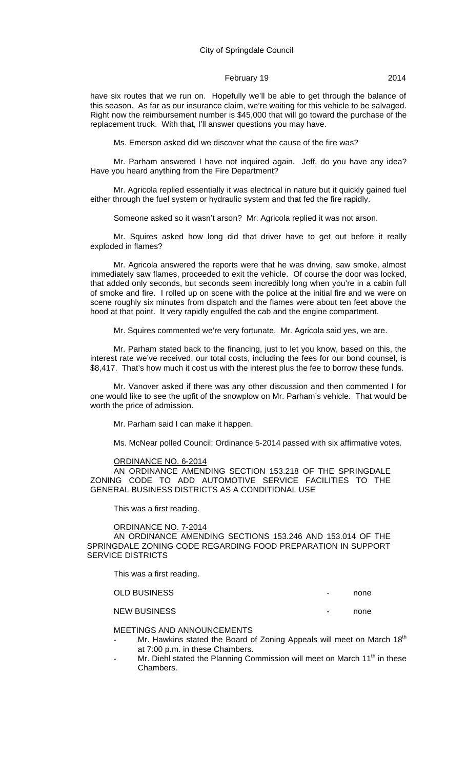have six routes that we run on. Hopefully we'll be able to get through the balance of this season. As far as our insurance claim, we're waiting for this vehicle to be salvaged. Right now the reimbursement number is \$45,000 that will go toward the purchase of the replacement truck. With that, I'll answer questions you may have.

Ms. Emerson asked did we discover what the cause of the fire was?

Mr. Parham answered I have not inquired again. Jeff, do you have any idea? Have you heard anything from the Fire Department?

Mr. Agricola replied essentially it was electrical in nature but it quickly gained fuel either through the fuel system or hydraulic system and that fed the fire rapidly.

Someone asked so it wasn't arson? Mr. Agricola replied it was not arson.

Mr. Squires asked how long did that driver have to get out before it really exploded in flames?

Mr. Agricola answered the reports were that he was driving, saw smoke, almost immediately saw flames, proceeded to exit the vehicle. Of course the door was locked, that added only seconds, but seconds seem incredibly long when you're in a cabin full of smoke and fire. I rolled up on scene with the police at the initial fire and we were on scene roughly six minutes from dispatch and the flames were about ten feet above the hood at that point. It very rapidly engulfed the cab and the engine compartment.

Mr. Squires commented we're very fortunate. Mr. Agricola said yes, we are.

Mr. Parham stated back to the financing, just to let you know, based on this, the interest rate we've received, our total costs, including the fees for our bond counsel, is \$8,417. That's how much it cost us with the interest plus the fee to borrow these funds.

Mr. Vanover asked if there was any other discussion and then commented I for one would like to see the upfit of the snowplow on Mr. Parham's vehicle. That would be worth the price of admission.

Mr. Parham said I can make it happen.

Ms. McNear polled Council; Ordinance 5-2014 passed with six affirmative votes.

#### ORDINANCE NO. 6-2014

AN ORDINANCE AMENDING SECTION 153.218 OF THE SPRINGDALE ZONING CODE TO ADD AUTOMOTIVE SERVICE FACILITIES TO THE GENERAL BUSINESS DISTRICTS AS A CONDITIONAL USE

This was a first reading.

#### ORDINANCE NO. 7-2014

AN ORDINANCE AMENDING SECTIONS 153.246 AND 153.014 OF THE SPRINGDALE ZONING CODE REGARDING FOOD PREPARATION IN SUPPORT SERVICE DISTRICTS

This was a first reading.

OLD BUSINESS **And Account Contract Contract Contract Contract Contract Contract Contract Contract Contract Contract Contract Contract Contract Contract Contract Contract Contract Contract Contract Contract Contract Contrac** 

NEW BUSINESS **And Contact Contact Contact Contact Contact Contact Contact Contact Contact Contact Contact Contact Contact Contact Contact Contact Contact Contact Contact Contact Contact Contact Contact Contact Contact Cont** 

MEETINGS AND ANNOUNCEMENTS

- Mr. Hawkins stated the Board of Zoning Appeals will meet on March 18<sup>th</sup> at 7:00 p.m. in these Chambers.
- Mr. Diehl stated the Planning Commission will meet on March 11<sup>th</sup> in these Chambers.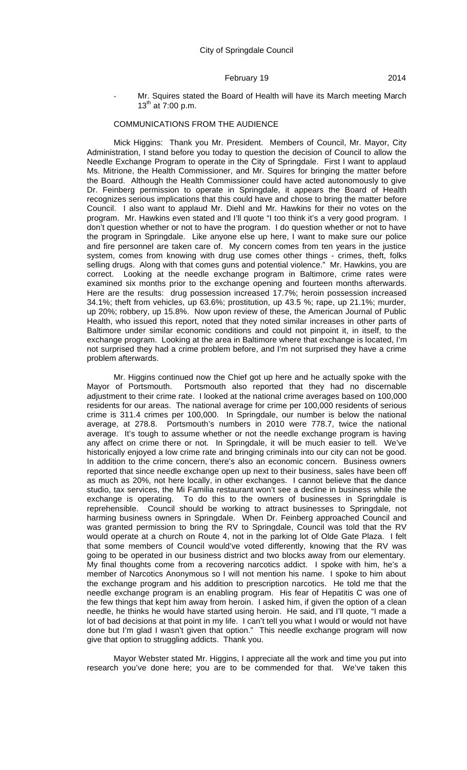Mr. Squires stated the Board of Health will have its March meeting March 13<sup>th</sup> at 7:00 p.m.

# COMMUNICATIONS FROM THE AUDIENCE

Mick Higgins: Thank you Mr. President. Members of Council, Mr. Mayor, City Administration, I stand before you today to question the decision of Council to allow the Needle Exchange Program to operate in the City of Springdale. First I want to applaud Ms. Mitrione, the Health Commissioner, and Mr. Squires for bringing the matter before the Board. Although the Health Commissioner could have acted autonomously to give Dr. Feinberg permission to operate in Springdale, it appears the Board of Health recognizes serious implications that this could have and chose to bring the matter before Council. I also want to applaud Mr. Diehl and Mr. Hawkins for their no votes on the program. Mr. Hawkins even stated and I'll quote "I too think it's a very good program. I don't question whether or not to have the program. I do question whether or not to have the program in Springdale. Like anyone else up here, I want to make sure our police and fire personnel are taken care of. My concern comes from ten years in the justice system, comes from knowing with drug use comes other things - crimes, theft, folks selling drugs. Along with that comes guns and potential violence." Mr. Hawkins, you are correct. Looking at the needle exchange program in Baltimore, crime rates were examined six months prior to the exchange opening and fourteen months afterwards. Here are the results: drug possession increased 17.7%; heroin possession increased 34.1%; theft from vehicles, up 63.6%; prostitution, up 43.5 %; rape, up 21.1%; murder, up 20%; robbery, up 15.8%. Now upon review of these, the American Journal of Public Health, who issued this report, noted that they noted similar increases in other parts of Baltimore under similar economic conditions and could not pinpoint it, in itself, to the exchange program. Looking at the area in Baltimore where that exchange is located, I'm not surprised they had a crime problem before, and I'm not surprised they have a crime problem afterwards.

Mr. Higgins continued now the Chief got up here and he actually spoke with the Mayor of Portsmouth. Portsmouth also reported that they had no discernable adjustment to their crime rate. I looked at the national crime averages based on 100,000 residents for our areas. The national average for crime per 100,000 residents of serious crime is 311.4 crimes per 100,000. In Springdale, our number is below the national average, at 278.8. Portsmouth's numbers in 2010 were 778.7, twice the national average. It's tough to assume whether or not the needle exchange program is having any affect on crime there or not. In Springdale, it will be much easier to tell. We've historically enjoyed a low crime rate and bringing criminals into our city can not be good. In addition to the crime concern, there's also an economic concern. Business owners reported that since needle exchange open up next to their business, sales have been off as much as 20%, not here locally, in other exchanges. I cannot believe that the dance studio, tax services, the Mi Familia restaurant won't see a decline in business while the exchange is operating. To do this to the owners of businesses in Springdale is reprehensible. Council should be working to attract businesses to Springdale, not harming business owners in Springdale. When Dr. Feinberg approached Council and was granted permission to bring the RV to Springdale, Council was told that the RV would operate at a church on Route 4, not in the parking lot of Olde Gate Plaza. I felt that some members of Council would've voted differently, knowing that the RV was going to be operated in our business district and two blocks away from our elementary. My final thoughts come from a recovering narcotics addict. I spoke with him, he's a member of Narcotics Anonymous so I will not mention his name. I spoke to him about the exchange program and his addition to prescription narcotics. He told me that the needle exchange program is an enabling program. His fear of Hepatitis C was one of the few things that kept him away from heroin. I asked him, if given the option of a clean needle, he thinks he would have started using heroin. He said, and I'll quote, "I made a lot of bad decisions at that point in my life. I can't tell you what I would or would not have done but I'm glad I wasn't given that option." This needle exchange program will now give that option to struggling addicts. Thank you.

Mayor Webster stated Mr. Higgins, I appreciate all the work and time you put into research you've done here; you are to be commended for that. We've taken this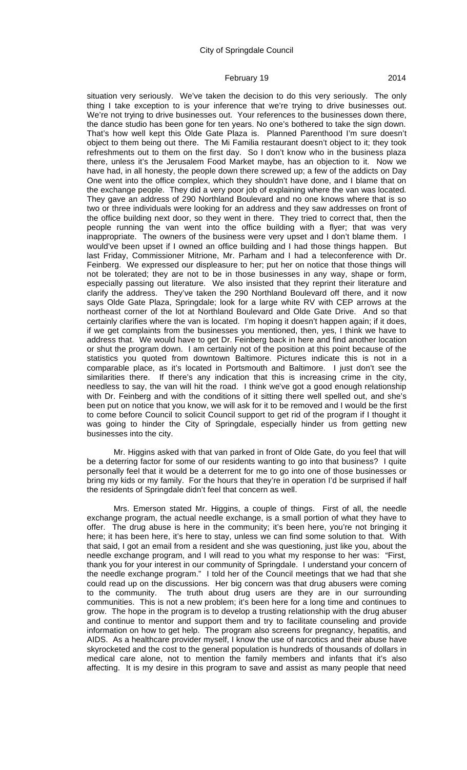situation very seriously. We've taken the decision to do this very seriously. The only thing I take exception to is your inference that we're trying to drive businesses out. We're not trying to drive businesses out. Your references to the businesses down there, the dance studio has been gone for ten years. No one's bothered to take the sign down. That's how well kept this Olde Gate Plaza is. Planned Parenthood I'm sure doesn't object to them being out there. The Mi Familia restaurant doesn't object to it; they took refreshments out to them on the first day. So I don't know who in the business plaza there, unless it's the Jerusalem Food Market maybe, has an objection to it. Now we have had, in all honesty, the people down there screwed up; a few of the addicts on Day One went into the office complex, which they shouldn't have done, and I blame that on the exchange people. They did a very poor job of explaining where the van was located. They gave an address of 290 Northland Boulevard and no one knows where that is so two or three individuals were looking for an address and they saw addresses on front of the office building next door, so they went in there. They tried to correct that, then the people running the van went into the office building with a flyer; that was very inappropriate. The owners of the business were very upset and I don't blame them. I would've been upset if I owned an office building and I had those things happen. But last Friday, Commissioner Mitrione, Mr. Parham and I had a teleconference with Dr. Feinberg. We expressed our displeasure to her; put her on notice that those things will not be tolerated; they are not to be in those businesses in any way, shape or form, especially passing out literature. We also insisted that they reprint their literature and clarify the address. They've taken the 290 Northland Boulevard off there, and it now says Olde Gate Plaza, Springdale; look for a large white RV with CEP arrows at the northeast corner of the lot at Northland Boulevard and Olde Gate Drive. And so that certainly clarifies where the van is located. I'm hoping it doesn't happen again; if it does, if we get complaints from the businesses you mentioned, then, yes, I think we have to address that. We would have to get Dr. Feinberg back in here and find another location or shut the program down. I am certainly not of the position at this point because of the statistics you quoted from downtown Baltimore. Pictures indicate this is not in a comparable place, as it's located in Portsmouth and Baltimore. I just don't see the similarities there. If there's any indication that this is increasing crime in the city, needless to say, the van will hit the road. I think we've got a good enough relationship with Dr. Feinberg and with the conditions of it sitting there well spelled out, and she's been put on notice that you know, we will ask for it to be removed and I would be the first to come before Council to solicit Council support to get rid of the program if I thought it was going to hinder the City of Springdale, especially hinder us from getting new businesses into the city.

Mr. Higgins asked with that van parked in front of Olde Gate, do you feel that will be a deterring factor for some of our residents wanting to go into that business? I quite personally feel that it would be a deterrent for me to go into one of those businesses or bring my kids or my family. For the hours that they're in operation I'd be surprised if half the residents of Springdale didn't feel that concern as well.

Mrs. Emerson stated Mr. Higgins, a couple of things. First of all, the needle exchange program, the actual needle exchange, is a small portion of what they have to offer. The drug abuse is here in the community; it's been here, you're not bringing it here; it has been here, it's here to stay, unless we can find some solution to that. With that said, I got an email from a resident and she was questioning, just like you, about the needle exchange program, and I will read to you what my response to her was: "First, thank you for your interest in our community of Springdale. I understand your concern of the needle exchange program." I told her of the Council meetings that we had that she could read up on the discussions. Her big concern was that drug abusers were coming to the community. The truth about drug users are they are in our surrounding communities. This is not a new problem; it's been here for a long time and continues to grow. The hope in the program is to develop a trusting relationship with the drug abuser and continue to mentor and support them and try to facilitate counseling and provide information on how to get help. The program also screens for pregnancy, hepatitis, and AIDS. As a healthcare provider myself, I know the use of narcotics and their abuse have skyrocketed and the cost to the general population is hundreds of thousands of dollars in medical care alone, not to mention the family members and infants that it's also affecting. It is my desire in this program to save and assist as many people that need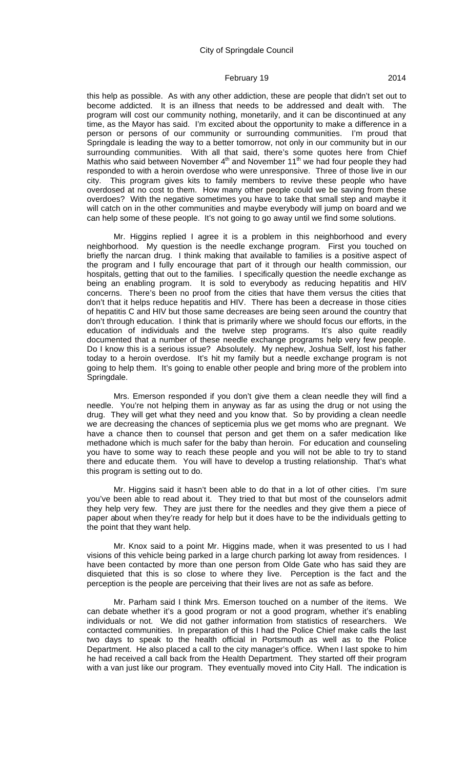this help as possible. As with any other addiction, these are people that didn't set out to become addicted. It is an illness that needs to be addressed and dealt with. The program will cost our community nothing, monetarily, and it can be discontinued at any time, as the Mayor has said. I'm excited about the opportunity to make a difference in a person or persons of our community or surrounding communities. I'm proud that Springdale is leading the way to a better tomorrow, not only in our community but in our surrounding communities. With all that said, there's some quotes here from Chief Mathis who said between November  $4<sup>th</sup>$  and November 11<sup>th</sup> we had four people they had responded to with a heroin overdose who were unresponsive. Three of those live in our city. This program gives kits to family members to revive these people who have overdosed at no cost to them. How many other people could we be saving from these overdoes? With the negative sometimes you have to take that small step and maybe it will catch on in the other communities and maybe everybody will jump on board and we can help some of these people. It's not going to go away until we find some solutions.

Mr. Higgins replied I agree it is a problem in this neighborhood and every neighborhood. My question is the needle exchange program. First you touched on briefly the narcan drug. I think making that available to families is a positive aspect of the program and I fully encourage that part of it through our health commission, our hospitals, getting that out to the families. I specifically question the needle exchange as being an enabling program. It is sold to everybody as reducing hepatitis and HIV concerns. There's been no proof from the cities that have them versus the cities that don't that it helps reduce hepatitis and HIV. There has been a decrease in those cities of hepatitis C and HIV but those same decreases are being seen around the country that don't through education. I think that is primarily where we should focus our efforts, in the education of individuals and the twelve step programs. It's also quite readily documented that a number of these needle exchange programs help very few people. Do I know this is a serious issue? Absolutely. My nephew, Joshua Self, lost his father today to a heroin overdose. It's hit my family but a needle exchange program is not going to help them. It's going to enable other people and bring more of the problem into Springdale.

Mrs. Emerson responded if you don't give them a clean needle they will find a needle. You're not helping them in anyway as far as using the drug or not using the drug. They will get what they need and you know that. So by providing a clean needle we are decreasing the chances of septicemia plus we get moms who are pregnant. We have a chance then to counsel that person and get them on a safer medication like methadone which is much safer for the baby than heroin. For education and counseling you have to some way to reach these people and you will not be able to try to stand there and educate them. You will have to develop a trusting relationship. That's what this program is setting out to do.

Mr. Higgins said it hasn't been able to do that in a lot of other cities. I'm sure you've been able to read about it. They tried to that but most of the counselors admit they help very few. They are just there for the needles and they give them a piece of paper about when they're ready for help but it does have to be the individuals getting to the point that they want help.

Mr. Knox said to a point Mr. Higgins made, when it was presented to us I had visions of this vehicle being parked in a large church parking lot away from residences. I have been contacted by more than one person from Olde Gate who has said they are disquieted that this is so close to where they live. Perception is the fact and the perception is the people are perceiving that their lives are not as safe as before.

Mr. Parham said I think Mrs. Emerson touched on a number of the items. We can debate whether it's a good program or not a good program, whether it's enabling individuals or not. We did not gather information from statistics of researchers. We contacted communities. In preparation of this I had the Police Chief make calls the last two days to speak to the health official in Portsmouth as well as to the Police Department. He also placed a call to the city manager's office. When I last spoke to him he had received a call back from the Health Department. They started off their program with a van just like our program. They eventually moved into City Hall. The indication is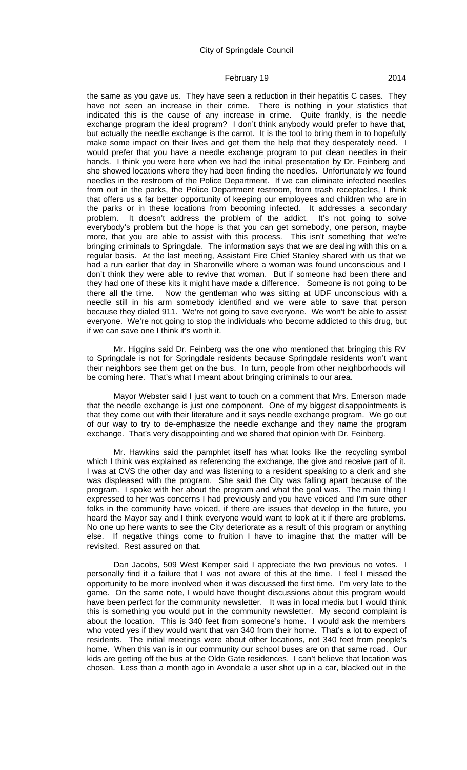the same as you gave us. They have seen a reduction in their hepatitis C cases. They have not seen an increase in their crime. There is nothing in your statistics that indicated this is the cause of any increase in crime. Quite frankly, is the needle exchange program the ideal program? I don't think anybody would prefer to have that, but actually the needle exchange is the carrot. It is the tool to bring them in to hopefully make some impact on their lives and get them the help that they desperately need. I would prefer that you have a needle exchange program to put clean needles in their hands. I think you were here when we had the initial presentation by Dr. Feinberg and she showed locations where they had been finding the needles. Unfortunately we found needles in the restroom of the Police Department. If we can eliminate infected needles from out in the parks, the Police Department restroom, from trash receptacles, I think that offers us a far better opportunity of keeping our employees and children who are in the parks or in these locations from becoming infected. It addresses a secondary problem. It doesn't address the problem of the addict. It's not going to solve everybody's problem but the hope is that you can get somebody, one person, maybe more, that you are able to assist with this process. This isn't something that we're bringing criminals to Springdale. The information says that we are dealing with this on a regular basis. At the last meeting, Assistant Fire Chief Stanley shared with us that we had a run earlier that day in Sharonville where a woman was found unconscious and I don't think they were able to revive that woman. But if someone had been there and they had one of these kits it might have made a difference. Someone is not going to be there all the time. Now the gentleman who was sitting at UDF unconscious with a needle still in his arm somebody identified and we were able to save that person because they dialed 911. We're not going to save everyone. We won't be able to assist everyone. We're not going to stop the individuals who become addicted to this drug, but if we can save one I think it's worth it.

Mr. Higgins said Dr. Feinberg was the one who mentioned that bringing this RV to Springdale is not for Springdale residents because Springdale residents won't want their neighbors see them get on the bus. In turn, people from other neighborhoods will be coming here. That's what I meant about bringing criminals to our area.

Mayor Webster said I just want to touch on a comment that Mrs. Emerson made that the needle exchange is just one component. One of my biggest disappointments is that they come out with their literature and it says needle exchange program. We go out of our way to try to de-emphasize the needle exchange and they name the program exchange. That's very disappointing and we shared that opinion with Dr. Feinberg.

Mr. Hawkins said the pamphlet itself has what looks like the recycling symbol which I think was explained as referencing the exchange, the give and receive part of it. I was at CVS the other day and was listening to a resident speaking to a clerk and she was displeased with the program. She said the City was falling apart because of the program. I spoke with her about the program and what the goal was. The main thing I expressed to her was concerns I had previously and you have voiced and I'm sure other folks in the community have voiced, if there are issues that develop in the future, you heard the Mayor say and I think everyone would want to look at it if there are problems. No one up here wants to see the City deteriorate as a result of this program or anything else. If negative things come to fruition I have to imagine that the matter will be revisited. Rest assured on that.

Dan Jacobs, 509 West Kemper said I appreciate the two previous no votes. I personally find it a failure that I was not aware of this at the time. I feel I missed the opportunity to be more involved when it was discussed the first time. I'm very late to the game. On the same note, I would have thought discussions about this program would have been perfect for the community newsletter. It was in local media but I would think this is something you would put in the community newsletter. My second complaint is about the location. This is 340 feet from someone's home. I would ask the members who voted yes if they would want that van 340 from their home. That's a lot to expect of residents. The initial meetings were about other locations, not 340 feet from people's home. When this van is in our community our school buses are on that same road. Our kids are getting off the bus at the Olde Gate residences. I can't believe that location was chosen. Less than a month ago in Avondale a user shot up in a car, blacked out in the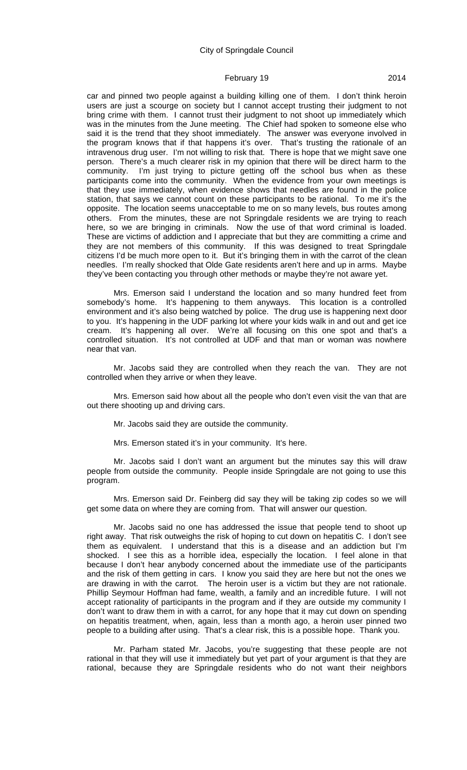car and pinned two people against a building killing one of them. I don't think heroin users are just a scourge on society but I cannot accept trusting their judgment to not bring crime with them. I cannot trust their judgment to not shoot up immediately which was in the minutes from the June meeting. The Chief had spoken to someone else who said it is the trend that they shoot immediately. The answer was everyone involved in the program knows that if that happens it's over. That's trusting the rationale of an intravenous drug user. I'm not willing to risk that. There is hope that we might save one person. There's a much clearer risk in my opinion that there will be direct harm to the community. I'm just trying to picture getting off the school bus when as these participants come into the community. When the evidence from your own meetings is that they use immediately, when evidence shows that needles are found in the police station, that says we cannot count on these participants to be rational. To me it's the opposite. The location seems unacceptable to me on so many levels, bus routes among others. From the minutes, these are not Springdale residents we are trying to reach here, so we are bringing in criminals. Now the use of that word criminal is loaded. These are victims of addiction and I appreciate that but they are committing a crime and they are not members of this community. If this was designed to treat Springdale citizens I'd be much more open to it. But it's bringing them in with the carrot of the clean needles. I'm really shocked that Olde Gate residents aren't here and up in arms. Maybe they've been contacting you through other methods or maybe they're not aware yet.

Mrs. Emerson said I understand the location and so many hundred feet from somebody's home. It's happening to them anyways. This location is a controlled environment and it's also being watched by police. The drug use is happening next door to you. It's happening in the UDF parking lot where your kids walk in and out and get ice cream. It's happening all over. We're all focusing on this one spot and that's a controlled situation. It's not controlled at UDF and that man or woman was nowhere near that van.

Mr. Jacobs said they are controlled when they reach the van. They are not controlled when they arrive or when they leave.

Mrs. Emerson said how about all the people who don't even visit the van that are out there shooting up and driving cars.

Mr. Jacobs said they are outside the community.

Mrs. Emerson stated it's in your community. It's here.

Mr. Jacobs said I don't want an argument but the minutes say this will draw people from outside the community. People inside Springdale are not going to use this program.

Mrs. Emerson said Dr. Feinberg did say they will be taking zip codes so we will get some data on where they are coming from. That will answer our question.

Mr. Jacobs said no one has addressed the issue that people tend to shoot up right away. That risk outweighs the risk of hoping to cut down on hepatitis C. I don't see them as equivalent. I understand that this is a disease and an addiction but I'm shocked. I see this as a horrible idea, especially the location. I feel alone in that because I don't hear anybody concerned about the immediate use of the participants and the risk of them getting in cars. I know you said they are here but not the ones we are drawing in with the carrot. The heroin user is a victim but they are not rationale. Phillip Seymour Hoffman had fame, wealth, a family and an incredible future. I will not accept rationality of participants in the program and if they are outside my community I don't want to draw them in with a carrot, for any hope that it may cut down on spending on hepatitis treatment, when, again, less than a month ago, a heroin user pinned two people to a building after using. That's a clear risk, this is a possible hope. Thank you.

Mr. Parham stated Mr. Jacobs, you're suggesting that these people are not rational in that they will use it immediately but yet part of your argument is that they are rational, because they are Springdale residents who do not want their neighbors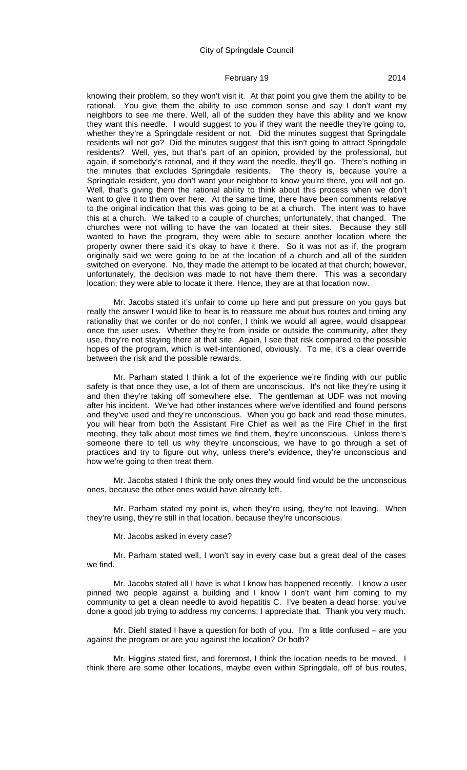knowing their problem, so they won't visit it. At that point you give them the ability to be rational. You give them the ability to use common sense and say I don't want my neighbors to see me there. Well, all of the sudden they have this ability and we know they want this needle. I would suggest to you if they want the needle they're going to, whether they're a Springdale resident or not. Did the minutes suggest that Springdale residents will not go? Did the minutes suggest that this isn't going to attract Springdale residents? Well, yes, but that's part of an opinion, provided by the professional, but again, if somebody's rational, and if they want the needle, they'll go. There's nothing in the minutes that excludes Springdale residents. The theory is, because you're a Springdale resident, you don't want your neighbor to know you're there, you will not go. Well, that's giving them the rational ability to think about this process when we don't want to give it to them over here. At the same time, there have been comments relative to the original indication that this was going to be at a church. The intent was to have this at a church. We talked to a couple of churches; unfortunately, that changed. The churches were not willing to have the van located at their sites. Because they still wanted to have the program, they were able to secure another location where the property owner there said it's okay to have it there. So it was not as if, the program originally said we were going to be at the location of a church and all of the sudden switched on everyone. No, they made the attempt to be located at that church; however, unfortunately, the decision was made to not have them there. This was a secondary location; they were able to locate it there. Hence, they are at that location now.

Mr. Jacobs stated it's unfair to come up here and put pressure on you guys but really the answer I would like to hear is to reassure me about bus routes and timing any rationality that we confer or do not confer, I think we would all agree, would disappear once the user uses. Whether they're from inside or outside the community, after they use, they're not staying there at that site. Again, I see that risk compared to the possible hopes of the program, which is well-intentioned, obviously. To me, it's a clear override between the risk and the possible rewards.

Mr. Parham stated I think a lot of the experience we're finding with our public safety is that once they use, a lot of them are unconscious. It's not like they're using it and then they're taking off somewhere else. The gentleman at UDF was not moving after his incident. We've had other instances where we've identified and found persons and they've used and they're unconscious. When you go back and read those minutes, you will hear from both the Assistant Fire Chief as well as the Fire Chief in the first meeting, they talk about most times we find them, they're unconscious. Unless there's someone there to tell us why they're unconscious, we have to go through a set of practices and try to figure out why, unless there's evidence, they're unconscious and how we're going to then treat them.

Mr. Jacobs stated I think the only ones they would find would be the unconscious ones, because the other ones would have already left.

Mr. Parham stated my point is, when they're using, they're not leaving. When they're using, they're still in that location, because they're unconscious.

Mr. Jacobs asked in every case?

Mr. Parham stated well, I won't say in every case but a great deal of the cases we find.

Mr. Jacobs stated all I have is what I know has happened recently. I know a user pinned two people against a building and I know I don't want him coming to my community to get a clean needle to avoid hepatitis C. I've beaten a dead horse; you've done a good job trying to address my concerns; I appreciate that. Thank you very much.

Mr. Diehl stated I have a question for both of you. I'm a little confused – are you against the program or are you against the location? Or both?

Mr. Higgins stated first, and foremost, I think the location needs to be moved. I think there are some other locations, maybe even within Springdale, off of bus routes,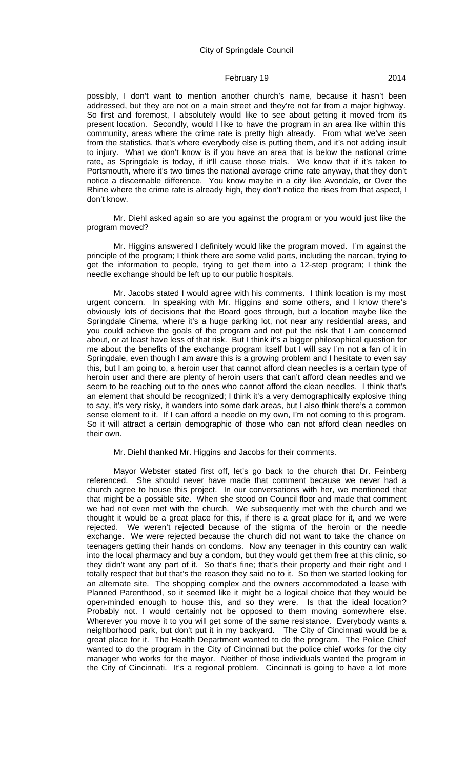possibly, I don't want to mention another church's name, because it hasn't been addressed, but they are not on a main street and they're not far from a major highway. So first and foremost, I absolutely would like to see about getting it moved from its present location. Secondly, would I like to have the program in an area like within this community, areas where the crime rate is pretty high already. From what we've seen from the statistics, that's where everybody else is putting them, and it's not adding insult to injury. What we don't know is if you have an area that is below the national crime rate, as Springdale is today, if it'll cause those trials. We know that if it's taken to Portsmouth, where it's two times the national average crime rate anyway, that they don't notice a discernable difference. You know maybe in a city like Avondale, or Over the Rhine where the crime rate is already high, they don't notice the rises from that aspect, I don't know.

Mr. Diehl asked again so are you against the program or you would just like the program moved?

Mr. Higgins answered I definitely would like the program moved. I'm against the principle of the program; I think there are some valid parts, including the narcan, trying to get the information to people, trying to get them into a 12-step program; I think the needle exchange should be left up to our public hospitals.

Mr. Jacobs stated I would agree with his comments. I think location is my most urgent concern. In speaking with Mr. Higgins and some others, and I know there's obviously lots of decisions that the Board goes through, but a location maybe like the Springdale Cinema, where it's a huge parking lot, not near any residential areas, and you could achieve the goals of the program and not put the risk that I am concerned about, or at least have less of that risk. But I think it's a bigger philosophical question for me about the benefits of the exchange program itself but I will say I'm not a fan of it in Springdale, even though I am aware this is a growing problem and I hesitate to even say this, but I am going to, a heroin user that cannot afford clean needles is a certain type of heroin user and there are plenty of heroin users that can't afford clean needles and we seem to be reaching out to the ones who cannot afford the clean needles. I think that's an element that should be recognized; I think it's a very demographically explosive thing to say, it's very risky, it wanders into some dark areas, but I also think there's a common sense element to it. If I can afford a needle on my own, I'm not coming to this program. So it will attract a certain demographic of those who can not afford clean needles on their own.

#### Mr. Diehl thanked Mr. Higgins and Jacobs for their comments.

Mayor Webster stated first off, let's go back to the church that Dr. Feinberg referenced. She should never have made that comment because we never had a church agree to house this project. In our conversations with her, we mentioned that that might be a possible site. When she stood on Council floor and made that comment we had not even met with the church. We subsequently met with the church and we thought it would be a great place for this, if there is a great place for it, and we were rejected. We weren't rejected because of the stigma of the heroin or the needle exchange. We were rejected because the church did not want to take the chance on teenagers getting their hands on condoms. Now any teenager in this country can walk into the local pharmacy and buy a condom, but they would get them free at this clinic, so they didn't want any part of it. So that's fine; that's their property and their right and I totally respect that but that's the reason they said no to it. So then we started looking for an alternate site. The shopping complex and the owners accommodated a lease with Planned Parenthood, so it seemed like it might be a logical choice that they would be open-minded enough to house this, and so they were. Is that the ideal location? Probably not. I would certainly not be opposed to them moving somewhere else. Wherever you move it to you will get some of the same resistance. Everybody wants a neighborhood park, but don't put it in my backyard. The City of Cincinnati would be a great place for it. The Health Department wanted to do the program. The Police Chief wanted to do the program in the City of Cincinnati but the police chief works for the city manager who works for the mayor. Neither of those individuals wanted the program in the City of Cincinnati. It's a regional problem. Cincinnati is going to have a lot more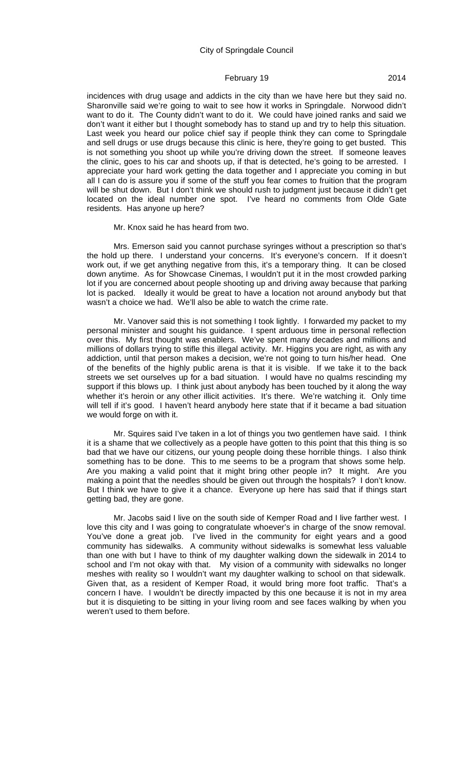incidences with drug usage and addicts in the city than we have here but they said no. Sharonville said we're going to wait to see how it works in Springdale. Norwood didn't want to do it. The County didn't want to do it. We could have joined ranks and said we don't want it either but I thought somebody has to stand up and try to help this situation. Last week you heard our police chief say if people think they can come to Springdale and sell drugs or use drugs because this clinic is here, they're going to get busted. This is not something you shoot up while you're driving down the street. If someone leaves the clinic, goes to his car and shoots up, if that is detected, he's going to be arrested. I appreciate your hard work getting the data together and I appreciate you coming in but all I can do is assure you if some of the stuff you fear comes to fruition that the program will be shut down. But I don't think we should rush to judgment just because it didn't get located on the ideal number one spot. I've heard no comments from Olde Gate residents. Has anyone up here?

Mr. Knox said he has heard from two.

Mrs. Emerson said you cannot purchase syringes without a prescription so that's the hold up there. I understand your concerns. It's everyone's concern. If it doesn't work out, if we get anything negative from this, it's a temporary thing. It can be closed down anytime. As for Showcase Cinemas, I wouldn't put it in the most crowded parking lot if you are concerned about people shooting up and driving away because that parking lot is packed. Ideally it would be great to have a location not around anybody but that wasn't a choice we had. We'll also be able to watch the crime rate.

Mr. Vanover said this is not something I took lightly. I forwarded my packet to my personal minister and sought his guidance. I spent arduous time in personal reflection over this. My first thought was enablers. We've spent many decades and millions and millions of dollars trying to stifle this illegal activity. Mr. Higgins you are right, as with any addiction, until that person makes a decision, we're not going to turn his/her head. One of the benefits of the highly public arena is that it is visible. If we take it to the back streets we set ourselves up for a bad situation. I would have no qualms rescinding my support if this blows up. I think just about anybody has been touched by it along the way whether it's heroin or any other illicit activities. It's there. We're watching it. Only time will tell if it's good. I haven't heard anybody here state that if it became a bad situation we would forge on with it.

Mr. Squires said I've taken in a lot of things you two gentlemen have said. I think it is a shame that we collectively as a people have gotten to this point that this thing is so bad that we have our citizens, our young people doing these horrible things. I also think something has to be done. This to me seems to be a program that shows some help. Are you making a valid point that it might bring other people in? It might. Are you making a point that the needles should be given out through the hospitals? I don't know. But I think we have to give it a chance. Everyone up here has said that if things start getting bad, they are gone.

Mr. Jacobs said I live on the south side of Kemper Road and I live farther west. I love this city and I was going to congratulate whoever's in charge of the snow removal. You've done a great job. I've lived in the community for eight years and a good community has sidewalks. A community without sidewalks is somewhat less valuable than one with but I have to think of my daughter walking down the sidewalk in 2014 to school and I'm not okay with that. My vision of a community with sidewalks no longer meshes with reality so I wouldn't want my daughter walking to school on that sidewalk. Given that, as a resident of Kemper Road, it would bring more foot traffic. That's a concern I have. I wouldn't be directly impacted by this one because it is not in my area but it is disquieting to be sitting in your living room and see faces walking by when you weren't used to them before.